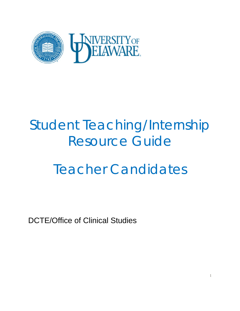

# Student Teaching/Internship Resource Guide

# Teacher Candidates

DCTE/Office of Clinical Studies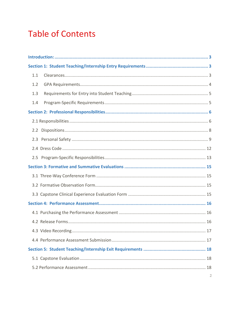# **Table of Contents**

| 1.1           |  |  |  |  |
|---------------|--|--|--|--|
| 1.2           |  |  |  |  |
| 1.3           |  |  |  |  |
| 1.4           |  |  |  |  |
|               |  |  |  |  |
|               |  |  |  |  |
| $2.2^{\circ}$ |  |  |  |  |
|               |  |  |  |  |
|               |  |  |  |  |
|               |  |  |  |  |
|               |  |  |  |  |
|               |  |  |  |  |
|               |  |  |  |  |
|               |  |  |  |  |
|               |  |  |  |  |
|               |  |  |  |  |
|               |  |  |  |  |
|               |  |  |  |  |
|               |  |  |  |  |
|               |  |  |  |  |
|               |  |  |  |  |
|               |  |  |  |  |
|               |  |  |  |  |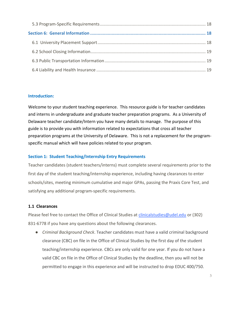# <span id="page-2-0"></span>**Introduction:**

Welcome to your student teaching experience. This resource guide is for teacher candidates and interns in undergraduate and graduate teacher preparation programs. As a University of Delaware teacher candidate/Intern you have many details to manage. The purpose of this guide is to provide you with information related to expectations that cross all teacher preparation programs at the University of Delaware. This is not a replacement for the programspecific manual which will have policies related to your program.

# <span id="page-2-1"></span>**Section 1: Student Teaching/Internship Entry Requirements**

Teacher candidates (student teachers/interns) must complete several requirements prior to the first day of the student teaching/internship experience, including having clearances to enter schools/sites, meeting minimum cumulative and major GPAs, passing the Praxis Core Test, and satisfying any additional program-specific requirements.

# <span id="page-2-2"></span>**1.1 Clearances**

Please feel free to contact the Office of Clinical Studies at [clinicalstudies@udel.edu](mailto:clinicalstudies@udel.edu) or (302) 831-6778 if you have any questions about the following clearances.

● *Criminal Background Check*. Teacher candidates must have a valid criminal background clearance (CBC) on file in the Office of Clinical Studies by the first day of the student teaching/internship experience. CBCs are only valid for one year. If you do not have a valid CBC on file in the Office of Clinical Studies by the deadline, then you will not be permitted to engage in this experience and will be instructed to drop EDUC 400/750.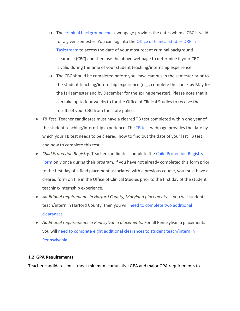- o The [criminal background check](http://www.ocs.udel.edu/clearances/background-check/) webpage provides the dates when a CBC is valid for a given semester. You can log into the [Office of Clinical Studies DRF in](https://login.taskstream.com/signon/)  [Taskstream](https://login.taskstream.com/signon/) to access the date of your most recent criminal background clearance (CBC) and then use the above webpage to determine if your CBC is valid during the time of your student teaching/internship experience.
- o The CBC should be completed before you leave campus in the semester prior to the student teaching/internship experience (e.g., complete the check by May for the fall semester and by December for the spring semester). Please note that it can take up to four weeks to for the Office of Clinical Studies to receive the results of your CBC from the state police.
- *TB Test*. Teacher candidates must have a cleared TB test completed within one year of the student teaching/internship experience. The [TB test](http://www.ocs.udel.edu/clearances/tb-test/) webpage provides the date by which your TB test needs to be cleared, how to find out the date of your last TB test, and how to complete this test.
- *Child Protection Registry*. Teacher candidates complete the [Child Protection Registry](http://www.ocs.udel.edu/clearances/child-protection-registry/)  [Form](http://www.ocs.udel.edu/clearances/child-protection-registry/) only once during their program. If you have not already completed this form prior to the first day of a field placement associated with a previous course, you must have a cleared form on file in the Office of Clinical Studies prior to the first day of the student teaching/internship experience.
- *Additional requirements in Harford County, Maryland placements*. If you will student teach/intern in Harford County, then you will [need to complete](http://www.ocs.udel.edu/clearances/student-teaching/hartford-county-clearances/) two additional [clearances.](http://www.ocs.udel.edu/clearances/student-teaching/hartford-county-clearances/)
- *Additional requirements in Pennsylvania placements*. For all Pennsylvania placements you will need to complete eight additional clearances [to student teach/intern in](http://www.ocs.udel.edu/clearances/student-teaching/pennsylvania-clearances/)  [Pennsylvania.](http://www.ocs.udel.edu/clearances/student-teaching/pennsylvania-clearances/)

#### <span id="page-3-0"></span>**1.2 GPA Requirements**

Teacher candidates must meet minimum cumulative GPA and major GPA requirements to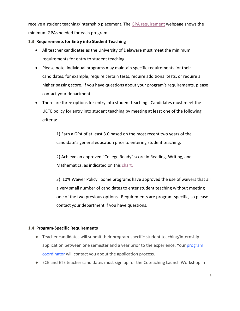receive a student teaching/internship placement. The [GPA requirement](http://www.ocs.udel.edu/wp-content/uploads/2017/04/Website-Page-Student-Teaching-GPAs.pdf) webpage shows the minimum GPAs needed for each program.

# <span id="page-4-0"></span>**1.3 Requirements for Entry into Student Teaching**

- All teacher candidates as the University of Delaware must meet the minimum requirements for entry to student teaching.
- Please note, individual programs may maintain specific requirements for their candidates, for example, require certain tests, require additional tests, or require a higher passing score. If you have questions about your program's requirements, please contact your department.
- There are three options for entry into student teaching. Candidates must meet the UCTE policy for entry into student teaching by meeting at least one of the following criteria:

1) Earn a GPA of at least 3.0 based on the most recent two years of the candidate's general education prior to entering student teaching.

2) Achieve an approved "College Ready" score in Reading, Writing, and Mathematics, as indicated on this [chart.](https://www.ocs.udel.edu/entry-into-student-teaching/)

3) 10% Waiver Policy. Some programs have approved the use of waivers that all a very small number of candidates to enter student teaching without meeting one of the two previous options. Requirements are program-specific, so please contact your department if you have questions.

# <span id="page-4-1"></span>**1.4 Program-Specific Requirements**

- Teacher candidates will submit their program-specific student teaching/internship application between one semester and a year prior to the experience. Your program [coordinator](http://www.ocs.udel.edu/student-teaching/program-coordinators/) will contact you about the application process.
- ECE and ETE teacher candidates must sign up for the Coteaching Launch Workshop in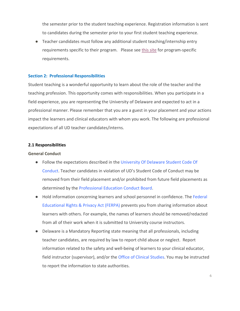the semester prior to the student teaching experience. Registration information is sent to candidates during the semester prior to your first student teaching experience.

● Teacher candidates must follow any additional student teaching/internship entry requirements specific to their program. Please see [this site](http://www.ocs.udel.edu/program-specifics/) for program-specific requirements.

#### <span id="page-5-0"></span>**Section 2: Professional Responsibilities**

Student teaching is a wonderful opportunity to learn about the role of the teacher and the teaching profession. This opportunity comes with responsibilities. When you participate in a field experience, you are representing the University of Delaware and expected to act in a professional manner. Please remember that you are a guest in your placement and your actions impact the learners and clinical educators with whom you work. The following are professional expectations of all UD teacher candidates/interns.

#### <span id="page-5-1"></span>**2.1 Responsibilities**

#### **General Conduct**

- Follow the expectations described in the [University Of Delaware Student Code Of](http://www1.udel.edu/stuguide/18-19/code.html) [Conduct.](http://www1.udel.edu/stuguide/18-19/code.html) Teacher candidates in violation of UD's Student Code of Conduct may be removed from their field placement and/or prohibited from future field placements as determined by the [Professional Education Conduct Board.](http://www.ucte.udel.edu/conduct-board/)
- Hold information concerning learners and school personnel in confidence. The Federal [Educational Rights & Privacy Act \(FERPA\)](http://www.udel.edu/registrar/policies-procedures/ferpa.html) prevents you from sharing information about learners with others. For example, the names of learners should be removed/redacted from all of their work when it is submitted to University course instructors.
- Delaware is a Mandatory Reporting state meaning that all professionals, including teacher candidates, are required by law to report child abuse or neglect. Report information related to the safety and well-being of learners to your clinical educator, field instructor (supervisor), and/or the [Office of Clinical Studies.](http://www.ocs.udel.edu/about-us/directory/) You may be instructed to report the information to state authorities.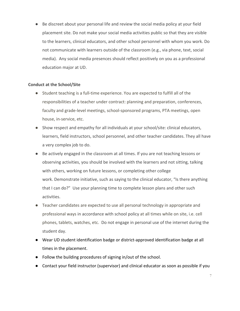● Be discreet about your personal life and review the social media policy at your field placement site. Do not make your social media activities public so that they are visible to the learners, clinical educators, and other school personnel with whom you work. Do not communicate with learners outside of the classroom (e.g., via phone, text, social media). Any social media presences should reflect positively on you as a professional education major at UD.

# **Conduct at the School/Site**

- Student teaching is a full-time experience. You are expected to fulfill all of the responsibilities of a teacher under contract: planning and preparation, conferences, faculty and grade-level meetings, school-sponsored programs, PTA meetings, open house, in-service, etc.
- Show respect and empathy for all individuals at your school/site: clinical educators, learners, field instructors, school personnel, and other teacher candidates. They all have a very complex job to do.
- Be actively engaged in the classroom at all times. If you are not teaching lessons or observing activities, you should be involved with the learners and not sitting, talking with others, working on future lessons, or completing other college work. Demonstrate initiative, such as saying to the clinical educator, "Is there anything that I can do?" Use your planning time to complete lesson plans and other such activities.
- Teacher candidates are expected to use all personal technology in appropriate and professional ways in accordance with school policy at all times while on site, i.e. cell phones, tablets, watches, etc. Do not engage in personal use of the internet during the student day.
- Wear UD student identification badge or district-approved identification badge at all times in the placement.
- Follow the building procedures of signing in/out of the school.
- Contact your field instructor (supervisor) and clinical educator as soon as possible if you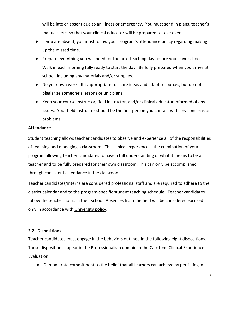will be late or absent due to an illness or emergency. You must send in plans, teacher's manuals, etc. so that your clinical educator will be prepared to take over.

- If you are absent, you must follow your program's attendance policy regarding making up the missed time.
- Prepare everything you will need for the next teaching day before you leave school. Walk in each morning fully ready to start the day. Be fully prepared when you arrive at school, including any materials and/or supplies.
- Do your own work. It is appropriate to share ideas and adapt resources, but do not plagiarize someone's lessons or unit plans.
- Keep your course instructor, field instructor, and/or clinical educator informed of any issues. Your field instructor should be the first person you contact with any concerns or problems.

#### **Attendance**

Student teaching allows teacher candidates to observe and experience all of the responsibilities of teaching and managing a classroom. This clinical experience is the culmination of your program allowing teacher candidates to have a full understanding of what it means to be a teacher and to be fully prepared for their own classroom. This can only be accomplished through consistent attendance in the classroom.

Teacher candidates/interns are considered professional staff and are required to adhere to the district calendar and to the program-specific student teaching schedule. Teacher candidates follow the teacher hours in their school. Absences from the field will be considered excused only in accordance with [University policy.](http://academiccatalog.udel.edu/Pub_ShowCatalogPage.aspx?CATKEY=KEY_471&ACYEAR=2016-2017)

# <span id="page-7-0"></span>**2.2 Dispositions**

Teacher candidates must engage in the behaviors outlined in the following eight dispositions. These dispositions appear in the Professionalism domain in the Capstone Clinical Experience Evaluation.

● Demonstrate commitment to the belief that all learners can achieve by persisting in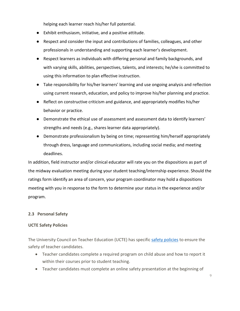helping each learner reach his/her full potential.

- Exhibit enthusiasm, initiative, and a positive attitude.
- Respect and consider the input and contributions of families, colleagues, and other professionals in understanding and supporting each learner's development.
- Respect learners as individuals with differing personal and family backgrounds, and with varying skills, abilities, perspectives, talents, and interests; he/she is committed to using this information to plan effective instruction.
- Take responsibility for his/her learners' learning and use ongoing analysis and reflection using current research, education, and policy to improve his/her planning and practice.
- Reflect on constructive criticism and guidance, and appropriately modifies his/her behavior or practice.
- Demonstrate the ethical use of assessment and assessment data to identify learners' strengths and needs (e.g., shares learner data appropriately).
- Demonstrate professionalism by being on time; representing him/herself appropriately through dress, language and communications, including social media; and meeting deadlines.

In addition, field instructor and/or clinical educator will rate you on the dispositions as part of the midway evaluation meeting during your student teaching/internship experience. Should the ratings form identify an area of concern, your program coordinator may hold a dispositions meeting with you in response to the form to determine your status in the experience and/or program.

# <span id="page-8-0"></span>**2.3 Personal Safety**

# **UCTE Safety Policies**

The University Council on Teacher Education (UCTE) has specific [safety policies](http://www.ucte.udel.edu/policies/) to ensure the safety of teacher candidates.

- Teacher candidates complete a required program on child abuse and how to report it within their courses prior to student teaching.
- Teacher candidates must complete an online safety presentation at the beginning of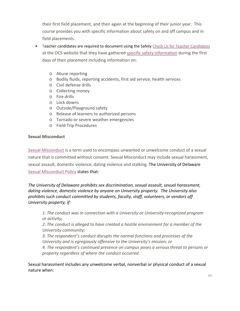their first field placement, and then again at the beginning of their junior year. This course provides you with specific information about safety on and off campus and in field placements.

- Teacher candidates are required to document using the Safety [Check Lis for Teacher Candidates](http://www.ocs.udel.edu/student-teaching/student-teaching-checklist/) at the OCS website that they have gathered [specific safety information](http://www.ocs.udel.edu/student-teaching/forms/) during the first days of their placement including information on:
	- o Abuse reporting
	- o Bodily fluids, reporting accidents, first aid service, health services
	- o Civil defense drills
	- o Collecting money
	- o Fire drills
	- o Lock downs
	- o Outside/Playground safety
	- o Release of learners to authorized persons
	- o Tornado or severe weather emergencies
	- o Field Trip Procedures

#### **Sexual Misconduct**

[Sexual Misconduct](http://sites.udel.edu/sexualmisconduct/how-to-report/guidelines-for-reporting/) is a term used to encompass unwanted or unwelcome conduct of a sexual nature that is committed without consent. Sexual Misconduct may include sexual harassment, sexual assault, domestic violence, dating violence and stalking. The University of Delaware [Sexual Misconduct Policy](http://sites.udel.edu/sexualmisconduct/files/2017/02/20161027-Sexual-Misconduct-Policy-1r6p4hg.pdf) states that:

*The University of Delaware prohibits sex discrimination, sexual assault, sexual harassment, dating violence, domestic violence by anyone on University property. The University also prohibits such conduct committed by students, faculty, staff, volunteers, or vendors off University property, if:* 

*1. The conduct was in connection with a University or University-recognized program or activity;*

*2. The conduct is alleged to have created a hostile environment for a member of the University community;*

*3. The respondent's conduct disrupts the normal functions and processes of the University and is egregiously offensive to the University's mission; or*

*4. The respondent's continued presence on campus poses a serious threat to persons or property regardless of where the conduct occurred.*

Sexual harassment includes any unwelcome verbal, nonverbal or physical conduct of a sexual nature when: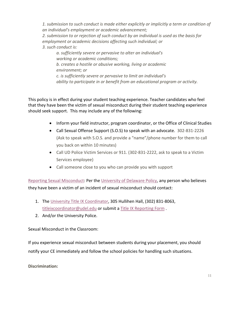*1. submission to such conduct is made either explicitly or implicitly a term or condition of an individual's employment or academic advancement; 2. submission to or rejection of such conduct by an individual is used as the basis for employment or academic decisions affecting such individual; or 3. such conduct is:*

*a. sufficiently severe or pervasive to alter an individual's working or academic conditions; b. creates a hostile or abusive working, living or academic environment; or c. is sufficiently severe or pervasive to limit an individual's ability to participate in or benefit from an educational program or activity.*

This policy is in effect during your student teaching experience. Teacher candidates who feel that they have been the victim of sexual misconduct during their student teaching experience should seek support. This may include any of the following:

- Inform your field instructor, program coordinator, or the Office of Clinical Studies
- Call Sexual Offense Support (S.O.S) to speak with an advocate. 302-831-2226 (Ask to speak with S.O.S. and provide a "name"/phone number for them to call you back on within 10 minutes)
- Call UD Police Victim Services or 911. (302-831-2222, ask to speak to a Victim Services employee)
- Call someone close to you who can provide you with support

[Reporting Sexual Misconduct:](http://sites.udel.edu/sexualmisconduct/how-to-report/guidelines-for-reporting/) Per the [University of Delaware Policy,](http://sites.udel.edu/sexualmisconduct/files/2017/02/20161027-Sexual-Misconduct-Policy-1r6p4hg.pdf) any person who believes they have been a victim of an incident of sexual misconduct should contact:

- 1. The [University Title IX Coordinator,](http://sites.udel.edu/sexualmisconduct/how-to-report/guidelines-for-reporting/) 305 Hullihen Hall, (302) 831-8063, [titleixcoordinator@udel.edu](mailto:titleixcoordinator@udel.edu) or submit a [Title IX Reporting Form](http://sites.udel.edu/sexualmisconduct/how-to-report/guidelines-for-reporting/).
- 2. And/or the University Police.

Sexual Misconduct in the Classroom:

If you experience sexual misconduct between students during your placement, you should notify your CE immediately and follow the school policies for handling such situations.

**Discrimination:**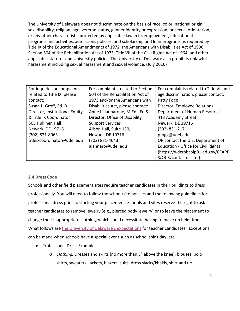The University of Delaware does not discriminate on the basis of race, color, national origin, sex, disability, religion, age, veteran status, gender identity or expression, or sexual orientation, or any other characteristic protected by applicable law in its employment, educational programs and activities, admissions policies, and scholarship and loan programs as required by Title IX of the Educational Amendments of 1972, the Americans with Disabilities Act of 1990, Section 504 of the Rehabilitation Act of 1973, Title VII of the Civil Rights Act of 1964, and other applicable statutes and University policies. The University of Delaware also prohibits unlawful harassment including sexual harassment and sexual violence. (July 2016)

| For inquiries or complaints    | For complaints related to Section | For complaints related to Title VII and    |
|--------------------------------|-----------------------------------|--------------------------------------------|
| related to Title IX, please    | 504 of the Rehabilitation Act of  | age discrimination, please contact:        |
| contact:                       | 1973 and/or the Americans with    | Patty Fogg                                 |
| Susan L. Groff, Ed. D.         | Disabilities Act, please contact: | Director, Employee Relations               |
| Director, Institutional Equity | Anne L. Jannarone, M.Ed., Ed.S.   | Department of Human Resources              |
| & Title IX Coordinator         | Director, Office of Disability    | 413 Academy Street                         |
| 305 Hullihen Hall              | <b>Support Services</b>           | Newark, DE 19716                           |
| Newark, DE 19716               | Alison Hall, Suite 130,           | (302) 831-2171                             |
| (302) 831-8063                 | Newark, DE 19716                  | pfogg@udel.edu                             |
| titleixcoordinator@udel.edu    | (302) 831-4643                    | OR contact the U.S. Department of          |
|                                | ajannaro@udel.edu                 | <b>Education - Office for Civil Rights</b> |
|                                |                                   | (https://wdcrobcolp01.ed.gov/CFAPP         |
|                                |                                   | S/OCR/contactus.cfm).                      |

# <span id="page-11-0"></span>**2.4 Dress Code**

Schools and other field placement sites require teacher candidates in their buildings to dress professionally. You will need to follow the school/site policies and the following guidelines for professional dress prior to starting your placement. Schools and sites reserve the right to ask teacher candidates to remove jewelry (e.g., pierced body jewelry) or to leave the placement to change their inappropriate clothing, which could necessitate having to make up field time. What follows are [the University of Delaware's expectations](http://www.ocs.udel.edu/information/dress-code/) for teacher candidates. Exceptions can be made when schools have a special event such as school spirit day, etc.

- Professional Dress Examples
	- o *Clothing.* Dresses and skirts (no more than 3" above the knee), blouses, polo shirts, sweaters, jackets, blazers, suits, dress slacks/khakis, shirt and tie.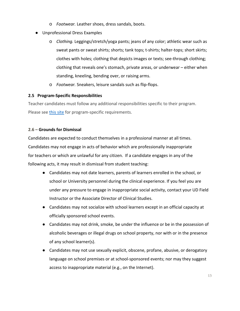- o *Footwear.* Leather shoes, dress sandals, boots.
- Unprofessional Dress Examples
	- o *Clothing.* Leggings/stretch/yoga pants; jeans of any color; athletic wear such as sweat pants or sweat shirts; shorts; tank tops; t-shirts; halter-tops; short skirts; clothes with holes; clothing that depicts images or texts; see-through clothing; clothing that reveals one's stomach, private areas, or underwear – either when standing, kneeling, bending over, or raising arms.
	- o *Footwear.* Sneakers, leisure sandals such as flip-flops.

# <span id="page-12-0"></span>**2.5 Program-Specific Responsibilities**

Teacher candidates must follow any additional responsibilities specific to their program. Please see [this site](http://www.ocs.udel.edu/program-specifics/) for program-specific requirements.

# **2.6 – Grounds for Dismissal**

Candidates are expected to conduct themselves in a professional manner at all times. Candidates may not engage in acts of behavior which are professionally inappropriate for teachers or which are unlawful for any citizen. If a candidate engages in any of the following acts, it may result in dismissal from student teaching:

- Candidates may not date learners, parents of learners enrolled in the school, or school or University personnel during the clinical experience. If you feel you are under any pressure to engage in inappropriate social activity, contact your UD Field Instructor or the Associate Director of Clinical Studies.
- Candidates may not socialize with school learners except in an official capacity at officially sponsored school events.
- Candidates may not drink, smoke, be under the influence or be in the possession of alcoholic beverages or illegal drugs on school property, nor with or in the presence of any school learner(s).
- Candidates may not use sexually explicit, obscene, profane, abusive, or derogatory language on school premises or at school-sponsored events; nor may they suggest access to inappropriate material (e.g., on the Internet).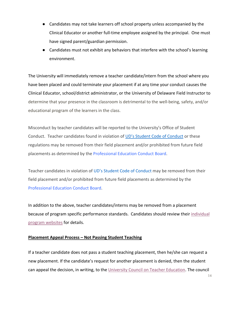- Candidates may not take learners off school property unless accompanied by the Clinical Educator or another full-time employee assigned by the principal. One must have signed parent/guardian permission.
- Candidates must not exhibit any behaviors that interfere with the school's learning environment.

The University will immediately remove a teacher candidate/intern from the school where you have been placed and could terminate your placement if at any time your conduct causes the Clinical Educator, school/district administrator, or the University of Delaware Field Instructor to determine that your presence in the classroom is detrimental to the well-being, safety, and/or educational program of the learners in the class.

Misconduct by teacher candidates will be reported to the University's Office of Student Conduct. Teacher candidates found in violation of [UD's Student Code of Conduct](http://www1.udel.edu/stuguide/18-19/code.html) or these regulations may be removed from their field placement and/or prohibited from future field placements as determined by the [Professional Education Conduct Board.](http://www.ucte.udel.edu/conduct-board/)

Teacher candidates in violation of [UD's Student Code of Conduct](http://www1.udel.edu/stuguide/18-19/code.html) may be removed from their field placement and/or prohibited from future field placements as determined by the [Professional Education Conduct Board.](http://www.ucte.udel.edu/conduct-board/)

In addition to the above, teacher candidates/interns may be removed from a placement because of program specific performance standards. Candidates should review thei[r individual](http://www.ocs.udel.edu/program-specifics/)  [program websites](http://www.ocs.udel.edu/program-specifics/) for details.

# **Placement Appeal Process – Not Passing Student Teaching**

If a teacher candidate does not pass a student teaching placement, then he/she can request a new placement. If the candidate's request for another placement is denied, then the student can appeal the decision, in writing, to the [University Council on Teacher Education.](http://www.ucte.udel.edu/wp-content/uploads/2011/12/Policy-on-Repeating-a-Student-Teaching-Experience.pdf) The council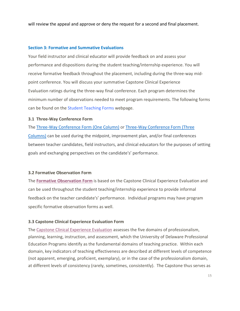will review the appeal and approve or deny the request for a second and final placement.

#### <span id="page-14-0"></span>**Section 3: Formative and Summative Evaluations**

Your field instructor and clinical educator will provide feedback on and assess your performance and dispositions during the student teaching/internship experience. You will receive formative feedback throughout the placement, including during the three-way midpoint conference. You will discuss your summative Capstone Clinical Experience Evaluation ratings during the three-way final conference. Each program determines the minimum number of observations needed to meet program requirements. The following forms can be found on the [Student Teaching Forms](http://www.ocs.udel.edu/student-teaching/forms/) webpage.

#### <span id="page-14-1"></span>**3.1 Three-Way Conference Form**

The [Three-Way Conference Form \(One Column\)](http://www.ocs.udel.edu/student-teaching/forms/) or [Three-Way Conference Form \(Three](http://www.ocs.udel.edu/student-teaching/forms/)  [Columns\)](http://www.ocs.udel.edu/student-teaching/forms/) can be used during the midpoint, improvement plan, and/or final conferences between teacher candidates, field instructors, and clinical educators for the purposes of setting goals and exchanging perspectives on the candidate's' performance.

# <span id="page-14-2"></span>**3.2 Formative Observation Form**

The **[Formative Observation Form](http://www.ocs.udel.edu/student-teaching/forms/formative-forms/)** is based on the Capstone Clinical Experience Evaluation and can be used throughout the student teaching/internship experience to provide informal feedback on the teacher candidate's' performance. Individual programs may have program specific formative observation forms as well.

# <span id="page-14-3"></span>**3.3 Capstone Clinical Experience Evaluation Form**

The [Capstone Clinical Experience Evaluation](http://www.ocs.udel.edu/student-teaching/forms/summative-forms/) assesses the five domains of professionalism, planning, learning, instruction, and assessment, which the University of Delaware Professional Education Programs identify as the fundamental domains of teaching practice. Within each domain, key indicators of teaching effectiveness are described at different levels of competence (not apparent, emerging, proficient, exemplary), or in the case of the professionalism domain, at different levels of consistency (rarely, sometimes, consistently). The Capstone thus serves as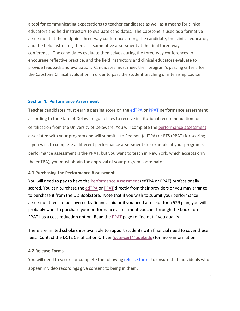a tool for communicating expectations to teacher candidates as well as a means for clinical educators and field instructors to evaluate candidates. The Capstone is used as a formative assessment at the midpoint three-way conference among the candidate, the clinical educator, and the field instructor; then as a summative assessment at the final three-way conference. The candidates evaluate themselves during the three-way conferences to encourage reflective practice, and the field instructors and clinical educators evaluate to provide feedback and evaluation. Candidates must meet their program's passing criteria for the Capstone Clinical Evaluation in order to pass the student teaching or internship course.

#### <span id="page-15-0"></span>**Section 4: Performance Assessment**

Teacher candidates must earn a passing score on the [edTPA](http://www.edtpa.com/) or [PPAT](https://www.ets.org/ppa/test-takers/teachers/about) performance assessment according to the State of Delaware guidelines to receive institutional recommendation for certification from the University of Delaware. You will complete the [performance assessment](http://www.teachered.udel.edu/performance-assessment/program/) associated with your program and will submit it to Pearson (edTPA) or ETS (PPAT) for scoring. If you wish to complete a different performance assessment (for example, if your program's performance assessment is the PPAT, but you want to teach in New York, which accepts only the edTPA), you must obtain the approval of your program coordinator.

#### <span id="page-15-1"></span>**4.1 Purchasing the Performance Assessment**

You will need to pay to have the [Performance Assessment](http://www.teachered.udel.edu/performance-assessment/) (edTPA or PPAT) professionally scored. You can purchase th[e edTPA](http://www.teachered.udel.edu/performance-assessment/edtpa/) or [PPAT](http://www.teachered.udel.edu/performance-assessment/ppat-information/) directly from their providers or you may arrange to purchase it from the UD Bookstore. Note that if you wish to submit your performance assessment fees to be covered by financial aid or if you need a receipt for a 529 plan, you will probably want to purchase your performance assessment voucher through the bookstore. PPAT has a cost-reduction option. Read the **PPAT** page to find out if you qualify.

There are limited scholarships available to support students with financial need to cover these fees. Contact the DCTE Certification Officer [\(dcte-cert@udel.edu\)](mailto:dcte-cert@udel.edu) for more information.

# <span id="page-15-2"></span>**4.2 Release Forms**

You will need to secure or complete the following [release forms](http://www.ocs.udel.edu/student-teaching/forms/) to ensure that individuals who appear in video recordings give consent to being in them.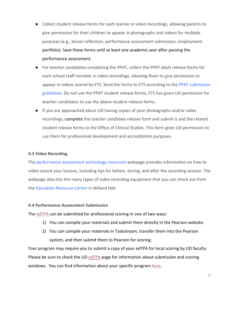- Collect student release forms for each learner in video recordings, allowing parents to give permission for their children to appear in photographs and videos for multiple purposes (e.g., lesson reflection, performance assessment submission, employment portfolio). Save these forms until at least one academic year after passing the performance assessment.
- For teacher candidates completing the PPAT, collect the PPAT adult release forms for each school staff member in video recordings, allowing them to give permission to appear in videos scored by ETS. Send the forms to ETS according to the [PPAT submission](https://www.ets.org/s/ppa/pdf/submission-system-user-guide.pdf)  [guidelines.](https://www.ets.org/s/ppa/pdf/submission-system-user-guide.pdf) Do not use the PPAT student release forms; ETS has given UD permission for teacher candidates to use the above student release forms.
- If you are approached about UD having copies of your photographs and/or video recordings, complete the teacher candidate release form and submit it and the related student release forms to the Office of Clinical Studies. This form gives UD permission to use them for professional development and accreditation purposes.

#### <span id="page-16-0"></span>**4.3 Video Recording**

The [performance assessment technology resources](http://www.oet.udel.edu/resources/performance_assessments/) webpage provides information on how to video record your lessons, including tips for before, during, and after the recording session. The webpage also lists the many types of video recording equipment that you can check out from the Education [Resource Center](http://www.erc.udel.edu/) in Willard Hall.

#### <span id="page-16-1"></span>**4.4 Performance Assessment Submission**

The [edTPA](http://www.teachered.udel.edu/performance-assessment/edtpa/) can be submitted for professional scoring in one of two ways:

- 1) You can compile your materials and submit them directly in the Pearson website.
- 2) You can compile your materials in Taskstream, transfer them into the Pearson system, and then submit them to Pearson for scoring.

Your program may require you to submit a copy of your edTPA for local scoring by UD faculty. Please be sure to check the UD [edTPA](http://www.teachered.udel.edu/performance-assessment/edtpa/) page for information about submission and scoring windows. You can find information about your specific program [here.](http://www.ocs.udel.edu/program-specifics/)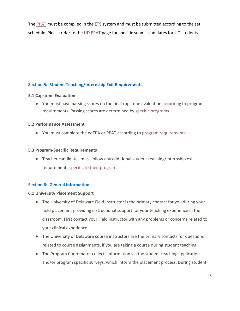The [PPAT](http://www.teachered.udel.edu/performance-assessment/ppat-information/) must be compiled in the ETS system and must be submitted according to the set schedule. Please refer to the [UD PPAT](http://www.teachered.udel.edu/performance-assessment/ppat-information/) page for specific submission dates for UD students.

# <span id="page-17-0"></span>**Section 5: Student Teaching/Internship Exit Requirements**

#### <span id="page-17-1"></span>**5.1 Capstone Evaluation**

● You must have passing scores on the final capstone evaluation according to program requirements. Passing scores are determined by [specific programs.](http://www.ocs.udel.edu/program-specifics/)

#### <span id="page-17-2"></span>**5.2 Performance Assessment**

● You must complete the edTPA or PPAT according to [program requirements.](http://www.ocs.udel.edu/program-specifics/)

#### <span id="page-17-3"></span>**5.3 Program-Specific Requirements**

● Teacher candidates must follow any additional student teaching/internship exit requirements [specific to their program.](http://www.ocs.udel.edu/program-specifics/)

# <span id="page-17-4"></span>**Section 6: General Information**

#### <span id="page-17-5"></span>**6.1 University Placement Support**

- The University of Delaware Field Instructor is the primary contact for you during your field placement providing instructional support for your teaching experience in the classroom. First contact your Field instructor with any problems or concerns related to your clinical experience.
- The University of Delaware course instructors are the primary contacts for questions related to course assignments, if you are taking a course during student teaching.
- The Program Coordinator collects information via the student teaching application and/or program specific surveys, which inform the placement process. During student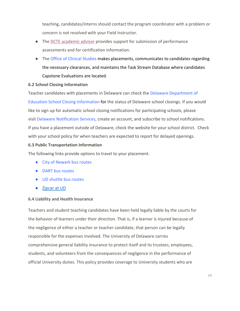teaching, candidates/interns should contact the program coordinator with a problem or concern is not resolved with your Field Instructor.

- The [DCTE academic advisor](mailto:victoria@udel.edu) provides support for submission of performance assessments and for certification information.
- The [Office of Clinical Studies makes placements, communicates to candidates regarding](http://www.ocs.udel.edu/about-us/directory/)  the necessary clearances, and maintains [the Task Stream Database where candidates](http://www.ocs.udel.edu/about-us/directory/)  [Capstone Evaluations are located.](http://www.ocs.udel.edu/about-us/directory/)

# <span id="page-18-0"></span>**6.2 School Closing Information**

Teacher candidates with placements in Delaware can check the [Delaware Department of](http://schoolclosings.delaware.gov/)  [Education School Closing Information](http://schoolclosings.delaware.gov/) for the status of Delaware school closings. If you would like to sign up for automatic school closing notifications for participating schools, please visit [Delaware Notification Services,](https://denotificationservices.bbcportal.com/) create an account, and subscribe to school notifications. If you have a placement outside of Delaware, check the website for your school district. Check with your school policy for when teachers are expected to report for delayed openings.

# <span id="page-18-1"></span>**6.3 Public Transportation Information**

The following links provide options to travel to your placement.

- [City of Newark bus routes](http://www.cityofnewarkde.us/index.aspx?NID=78)
- [DART bus routes](http://www.dartfirststate.com/information/routes/index.shtml)
- [UD shuttle bus routes](http://www.udel.edu/transportation/ud_route/)
- [Zipcar at UD](https://sites.udel.edu/transportation/uncategorized/1965/)

# <span id="page-18-2"></span>**6.4 Liability and Health Insurance**

Teachers and student teaching candidates have been held legally liable by the courts for the behavior of learners under their direction. That is, if a learner is injured because of the negligence of either a teacher or teacher candidate, that person can be legally responsible for the expenses involved. The University of Delaware carries comprehensive general liability insurance to protect itself and its trustees, employees, students, and volunteers from the consequences of negligence in the performance of official University duties. This policy provides coverage to University students who are